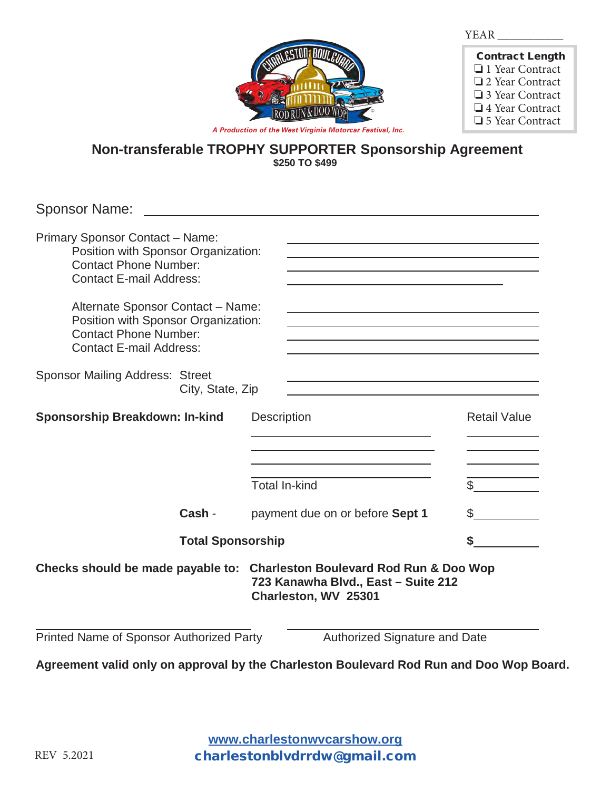| л.<br>л<br><br>., |  |  |
|-------------------|--|--|
|                   |  |  |



| <b>Contract Length</b> |
|------------------------|
| $\Box$ 1 Year Contract |
| □ 2 Year Contract      |
| □ 3 Year Contract      |
| $\Box$ 4 Year Contract |
| □ 5 Year Contract      |

*A Production of the West Virginia Motorcar Festival, Inc.*

## **Non-transferable TROPHY SUPPORTER Sponsorship Agreement \$250 TO \$499**

Sponsor Name:

| <b>Primary Sponsor Contact - Name:</b><br>Position with Sponsor Organization:<br><b>Contact Phone Number:</b><br><b>Contact E-mail Address:</b> |                                            |                                     |  |
|-------------------------------------------------------------------------------------------------------------------------------------------------|--------------------------------------------|-------------------------------------|--|
| Alternate Sponsor Contact - Name:<br>Position with Sponsor Organization:<br><b>Contact Phone Number:</b><br><b>Contact E-mail Address:</b>      |                                            |                                     |  |
| <b>Sponsor Mailing Address: Street</b><br>City, State, Zip                                                                                      |                                            |                                     |  |
| <b>Sponsorship Breakdown: In-kind</b>                                                                                                           | <b>Description</b><br><b>Total In-kind</b> | <b>Retail Value</b><br>$\mathbb{S}$ |  |
| Cash -                                                                                                                                          | payment due on or before Sept 1            | \$                                  |  |
| <b>Total Sponsorship</b>                                                                                                                        |                                            |                                     |  |
| Checks should be made payable to: Charleston Boulevard Rod Run & Doo Wop<br>723 Kanawha Blvd., East - Suite 212<br>Charleston, WV 25301         |                                            |                                     |  |
| Printed Name of Sponsor Authorized Party                                                                                                        | Authorized Signature and Date              |                                     |  |

**Agreement valid only on approval by the Charleston Boulevard Rod Run and Doo Wop Board.**